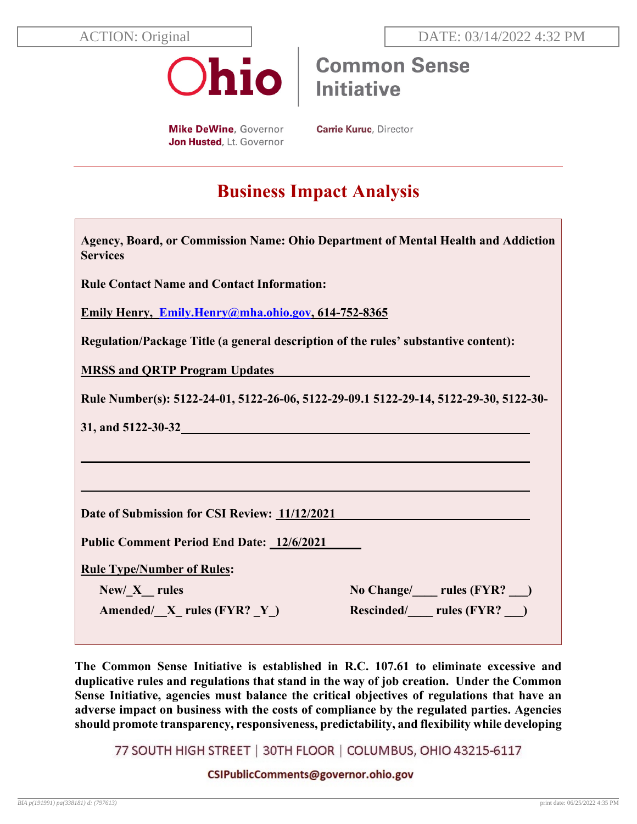

**Common Sense Initiative** 

**Mike DeWine, Governor** Jon Husted, Lt. Governor **Carrie Kuruc, Director** 

# **Business Impact Analysis**

| Agency, Board, or Commission Name: Ohio Department of Mental Health and Addiction<br><b>Services</b> |
|------------------------------------------------------------------------------------------------------|
| <b>Rule Contact Name and Contact Information:</b>                                                    |
| Emily Henry, Emily.Henry@mha.ohio.gov, 614-752-8365                                                  |
| Regulation/Package Title (a general description of the rules' substantive content):                  |
| <b>MRSS and QRTP Program Updates</b>                                                                 |
| Rule Number(s): 5122-24-01, 5122-26-06, 5122-29-09.1 5122-29-14, 5122-29-30, 5122-30-                |
|                                                                                                      |
|                                                                                                      |
|                                                                                                      |
| Date of Submission for CSI Review: 11/12/2021                                                        |
| Public Comment Period End Date: 12/6/2021                                                            |
| <b>Rule Type/Number of Rules:</b>                                                                    |
| No Change/ letter rules (FYR?  letteral)<br>$New/ X$ rules                                           |
| Rescinded/ ____ rules (FYR? ___ )<br>Amended/ $X$ rules (FYR? Y)                                     |

**The Common Sense Initiative is established in R.C. 107.61 to eliminate excessive and duplicative rules and regulations that stand in the way of job creation. Under the Common Sense Initiative, agencies must balance the critical objectives of regulations that have an adverse impact on business with the costs of compliance by the regulated parties. Agencies should promote transparency, responsiveness, predictability, and flexibility while developing** 

77 SOUTH HIGH STREET | 30TH FLOOR | COLUMBUS, OHIO 43215-6117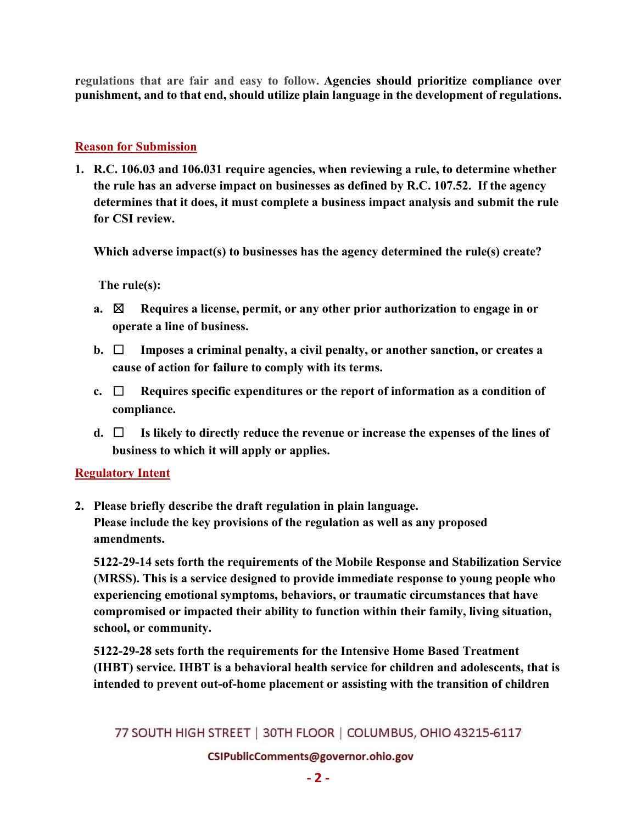**regulations that are fair and easy to follow. Agencies should prioritize compliance over punishment, and to that end, should utilize plain language in the development of regulations.** 

#### **Reason for Submission**

**1. R.C. 106.03 and 106.031 require agencies, when reviewing a rule, to determine whether the rule has an adverse impact on businesses as defined by R.C. 107.52. If the agency determines that it does, it must complete a business impact analysis and submit the rule for CSI review.** 

**Which adverse impact(s) to businesses has the agency determined the rule(s) create?** 

**The rule(s):**

- **a.** ☒ **Requires a license, permit, or any other prior authorization to engage in or operate a line of business.**
- **b.** ☐ **Imposes a criminal penalty, a civil penalty, or another sanction, or creates a cause of action for failure to comply with its terms.**
- **c.** ☐ **Requires specific expenditures or the report of information as a condition of compliance.**
- **d.** ☐ **Is likely to directly reduce the revenue or increase the expenses of the lines of business to which it will apply or applies.**

#### **Regulatory Intent**

**2. Please briefly describe the draft regulation in plain language. Please include the key provisions of the regulation as well as any proposed amendments.**

**5122-29-14 sets forth the requirements of the Mobile Response and Stabilization Service (MRSS). This is a service designed to provide immediate response to young people who experiencing emotional symptoms, behaviors, or traumatic circumstances that have compromised or impacted their ability to function within their family, living situation, school, or community.**

**5122-29-28 sets forth the requirements for the Intensive Home Based Treatment (IHBT) service. IHBT is a behavioral health service for children and adolescents, that is intended to prevent out-of-home placement or assisting with the transition of children** 

# 77 SOUTH HIGH STREET | 30TH FLOOR | COLUMBUS, OHIO 43215-6117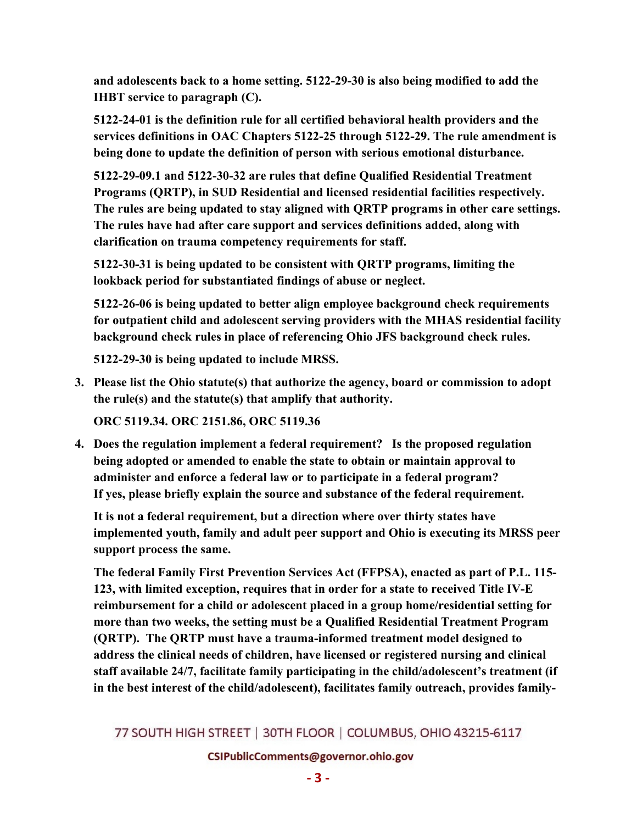**and adolescents back to a home setting. 5122-29-30 is also being modified to add the IHBT service to paragraph (C).**

**5122-24-01 is the definition rule for all certified behavioral health providers and the services definitions in OAC Chapters 5122-25 through 5122-29. The rule amendment is being done to update the definition of person with serious emotional disturbance.**

**5122-29-09.1 and 5122-30-32 are rules that define Qualified Residential Treatment Programs (QRTP), in SUD Residential and licensed residential facilities respectively. The rules are being updated to stay aligned with QRTP programs in other care settings. The rules have had after care support and services definitions added, along with clarification on trauma competency requirements for staff.**

**5122-30-31 is being updated to be consistent with QRTP programs, limiting the lookback period for substantiated findings of abuse or neglect.**

**5122-26-06 is being updated to better align employee background check requirements for outpatient child and adolescent serving providers with the MHAS residential facility background check rules in place of referencing Ohio JFS background check rules.**

**5122-29-30 is being updated to include MRSS.**

**3. Please list the Ohio statute(s) that authorize the agency, board or commission to adopt the rule(s) and the statute(s) that amplify that authority.** 

**ORC 5119.34. ORC 2151.86, ORC 5119.36** 

**4. Does the regulation implement a federal requirement? Is the proposed regulation being adopted or amended to enable the state to obtain or maintain approval to administer and enforce a federal law or to participate in a federal program? If yes, please briefly explain the source and substance of the federal requirement.**

**It is not a federal requirement, but a direction where over thirty states have implemented youth, family and adult peer support and Ohio is executing its MRSS peer support process the same.** 

**The federal Family First Prevention Services Act (FFPSA), enacted as part of P.L. 115- 123, with limited exception, requires that in order for a state to received Title IV-E reimbursement for a child or adolescent placed in a group home/residential setting for more than two weeks, the setting must be a Qualified Residential Treatment Program (QRTP). The QRTP must have a trauma-informed treatment model designed to address the clinical needs of children, have licensed or registered nursing and clinical staff available 24/7, facilitate family participating in the child/adolescent's treatment (if in the best interest of the child/adolescent), facilitates family outreach, provides family-**

77 SOUTH HIGH STREET | 30TH FLOOR | COLUMBUS, OHIO 43215-6117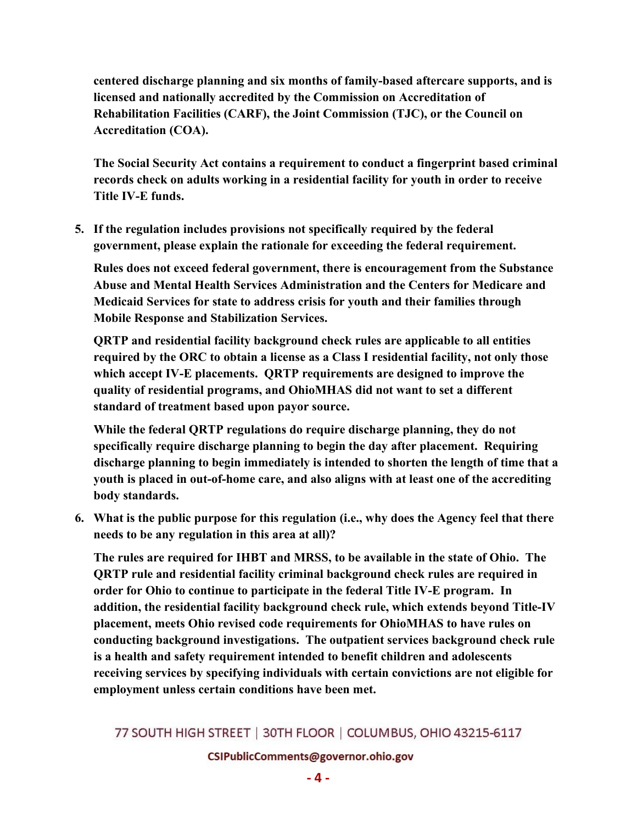**centered discharge planning and six months of family-based aftercare supports, and is licensed and nationally accredited by the Commission on Accreditation of Rehabilitation Facilities (CARF), the Joint Commission (TJC), or the Council on Accreditation (COA).**

**The Social Security Act contains a requirement to conduct a fingerprint based criminal records check on adults working in a residential facility for youth in order to receive Title IV-E funds.**

**5. If the regulation includes provisions not specifically required by the federal government, please explain the rationale for exceeding the federal requirement.**

**Rules does not exceed federal government, there is encouragement from the Substance Abuse and Mental Health Services Administration and the Centers for Medicare and Medicaid Services for state to address crisis for youth and their families through Mobile Response and Stabilization Services.**

**QRTP and residential facility background check rules are applicable to all entities required by the ORC to obtain a license as a Class I residential facility, not only those which accept IV-E placements. QRTP requirements are designed to improve the quality of residential programs, and OhioMHAS did not want to set a different standard of treatment based upon payor source.**

**While the federal QRTP regulations do require discharge planning, they do not specifically require discharge planning to begin the day after placement. Requiring discharge planning to begin immediately is intended to shorten the length of time that a youth is placed in out-of-home care, and also aligns with at least one of the accrediting body standards.** 

**6. What is the public purpose for this regulation (i.e., why does the Agency feel that there needs to be any regulation in this area at all)?**

**The rules are required for IHBT and MRSS, to be available in the state of Ohio. The QRTP rule and residential facility criminal background check rules are required in order for Ohio to continue to participate in the federal Title IV-E program. In addition, the residential facility background check rule, which extends beyond Title-IV placement, meets Ohio revised code requirements for OhioMHAS to have rules on conducting background investigations. The outpatient services background check rule is a health and safety requirement intended to benefit children and adolescents receiving services by specifying individuals with certain convictions are not eligible for employment unless certain conditions have been met.**

# 77 SOUTH HIGH STREET | 30TH FLOOR | COLUMBUS, OHIO 43215-6117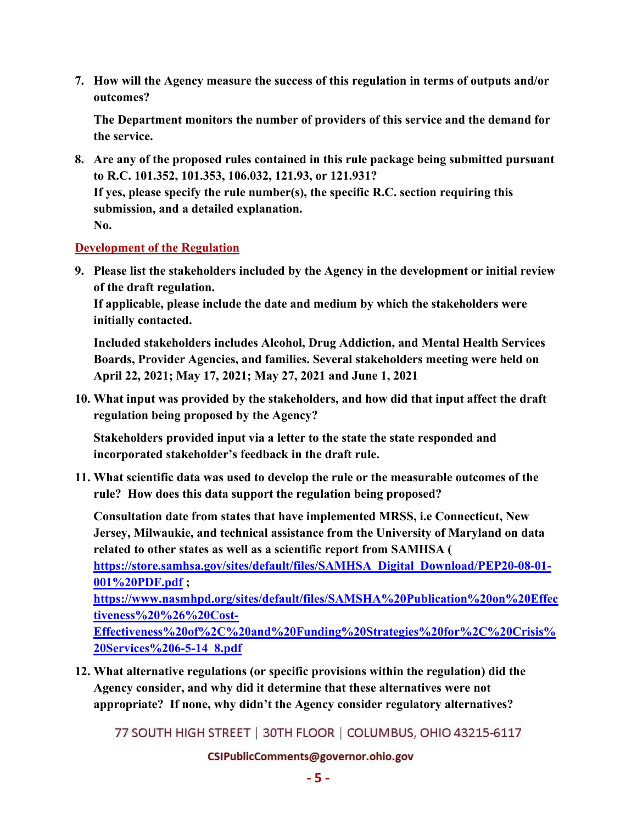**7. How will the Agency measure the success of this regulation in terms of outputs and/or outcomes?**

**The Department monitors the number of providers of this service and the demand for the service.** 

**8. Are any of the proposed rules contained in this rule package being submitted pursuant to R.C. 101.352, 101.353, 106.032, 121.93, or 121.931? If yes, please specify the rule number(s), the specific R.C. section requiring this submission, and a detailed explanation. No.**

#### **Development of the Regulation**

**9. Please list the stakeholders included by the Agency in the development or initial review of the draft regulation.** 

**If applicable, please include the date and medium by which the stakeholders were initially contacted.**

**Included stakeholders includes Alcohol, Drug Addiction, and Mental Health Services Boards, Provider Agencies, and families. Several stakeholders meeting were held on April 22, 2021; May 17, 2021; May 27, 2021 and June 1, 2021**

**10. What input was provided by the stakeholders, and how did that input affect the draft regulation being proposed by the Agency?**

**Stakeholders provided input via a letter to the state the state responded and incorporated stakeholder's feedback in the draft rule.** 

**11. What scientific data was used to develop the rule or the measurable outcomes of the rule? How does this data support the regulation being proposed?**

**Consultation date from states that have implemented MRSS, i.e Connecticut, New Jersey, Milwaukie, and technical assistance from the University of Maryland on data related to other states as well as a scientific report from SAMHSA (** 

**[https://store.samhsa.gov/sites/default/files/SAMHSA\\_Digital\\_Download/PEP20-08-01-](https://store.samhsa.gov/sites/default/files/SAMHSA_Digital_Download/PEP20-08-01-001%20PDF.pdf) [001%20PDF.pdf](https://store.samhsa.gov/sites/default/files/SAMHSA_Digital_Download/PEP20-08-01-001%20PDF.pdf) ;** 

**[https://www.nasmhpd.org/sites/default/files/SAMSHA%20Publication%20on%20Effec](https://www.nasmhpd.org/sites/default/files/SAMSHA%20Publication%20on%20Effectiveness%20%26%20Cost-Effectiveness%20of%2C%20and%20Funding%20Strategies%20for%2C%20Crisis%20Services%206-5-14_8.pdf) [tiveness%20%26%20Cost-](https://www.nasmhpd.org/sites/default/files/SAMSHA%20Publication%20on%20Effectiveness%20%26%20Cost-Effectiveness%20of%2C%20and%20Funding%20Strategies%20for%2C%20Crisis%20Services%206-5-14_8.pdf)**

**[Effectiveness%20of%2C%20and%20Funding%20Strategies%20for%2C%20Crisis%](https://www.nasmhpd.org/sites/default/files/SAMSHA%20Publication%20on%20Effectiveness%20%26%20Cost-Effectiveness%20of%2C%20and%20Funding%20Strategies%20for%2C%20Crisis%20Services%206-5-14_8.pdf) [20Services%206-5-14\\_8.pdf](https://www.nasmhpd.org/sites/default/files/SAMSHA%20Publication%20on%20Effectiveness%20%26%20Cost-Effectiveness%20of%2C%20and%20Funding%20Strategies%20for%2C%20Crisis%20Services%206-5-14_8.pdf)**

**12. What alternative regulations (or specific provisions within the regulation) did the Agency consider, and why did it determine that these alternatives were not appropriate? If none, why didn't the Agency consider regulatory alternatives?**

77 SOUTH HIGH STREET | 30TH FLOOR | COLUMBUS, OHIO 43215-6117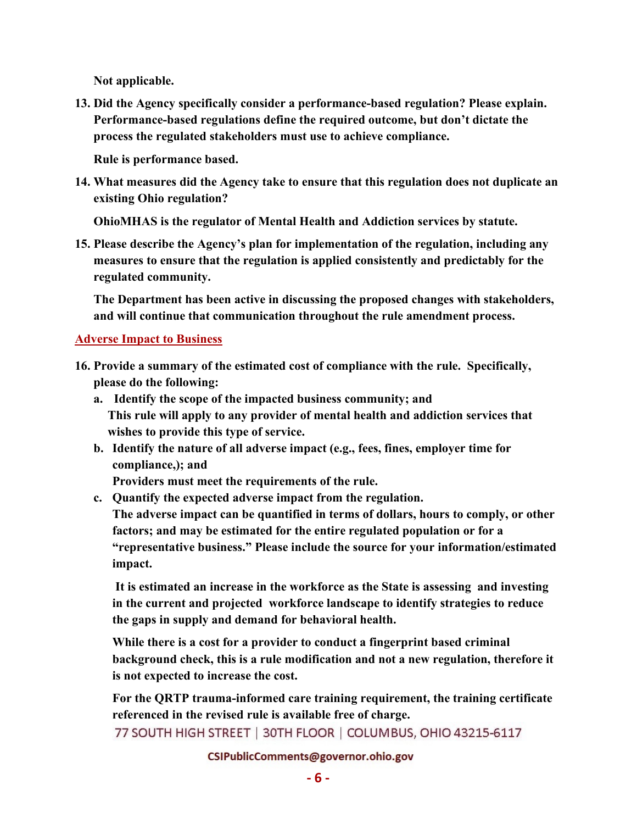**Not applicable.** 

**13. Did the Agency specifically consider a performance-based regulation? Please explain. Performance-based regulations define the required outcome, but don't dictate the process the regulated stakeholders must use to achieve compliance.**

**Rule is performance based.** 

**14. What measures did the Agency take to ensure that this regulation does not duplicate an existing Ohio regulation?** 

**OhioMHAS is the regulator of Mental Health and Addiction services by statute.**

**15. Please describe the Agency's plan for implementation of the regulation, including any measures to ensure that the regulation is applied consistently and predictably for the regulated community.**

**The Department has been active in discussing the proposed changes with stakeholders, and will continue that communication throughout the rule amendment process.** 

# **Adverse Impact to Business**

- **16. Provide a summary of the estimated cost of compliance with the rule. Specifically, please do the following:**
	- **a. Identify the scope of the impacted business community; and This rule will apply to any provider of mental health and addiction services that wishes to provide this type of service.**
	- **b. Identify the nature of all adverse impact (e.g., fees, fines, employer time for compliance,); and**

**Providers must meet the requirements of the rule.**

**c. Quantify the expected adverse impact from the regulation.** 

 **The adverse impact can be quantified in terms of dollars, hours to comply, or other factors; and may be estimated for the entire regulated population or for a "representative business." Please include the source for your information/estimated impact.**

 **It is estimated an increase in the workforce as the State is assessing and investing in the current and projected workforce landscape to identify strategies to reduce the gaps in supply and demand for behavioral health.**

**While there is a cost for a provider to conduct a fingerprint based criminal background check, this is a rule modification and not a new regulation, therefore it is not expected to increase the cost.**

**For the QRTP trauma-informed care training requirement, the training certificate referenced in the revised rule is available free of charge.**

77 SOUTH HIGH STREET | 30TH FLOOR | COLUMBUS, OHIO 43215-6117